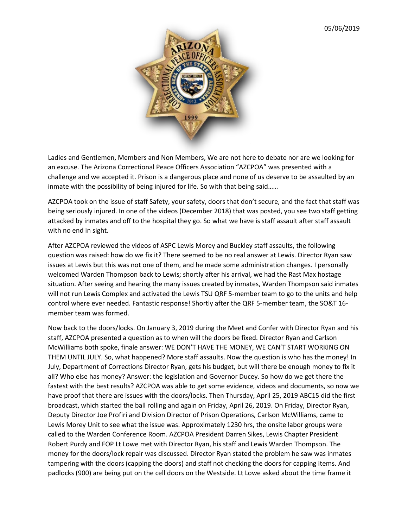

Ladies and Gentlemen, Members and Non Members, We are not here to debate nor are we looking for an excuse. The Arizona Correctional Peace Officers Association "AZCPOA" was presented with a challenge and we accepted it. Prison is a dangerous place and none of us deserve to be assaulted by an inmate with the possibility of being injured for life. So with that being said……

AZCPOA took on the issue of staff Safety, your safety, doors that don't secure, and the fact that staff was being seriously injured. In one of the videos (December 2018) that was posted, you see two staff getting attacked by inmates and off to the hospital they go. So what we have is staff assault after staff assault with no end in sight.

After AZCPOA reviewed the videos of ASPC Lewis Morey and Buckley staff assaults, the following question was raised: how do we fix it? There seemed to be no real answer at Lewis. Director Ryan saw issues at Lewis but this was not one of them, and he made some administration changes. I personally welcomed Warden Thompson back to Lewis; shortly after his arrival, we had the Rast Max hostage situation. After seeing and hearing the many issues created by inmates, Warden Thompson said inmates will not run Lewis Complex and activated the Lewis TSU QRF 5-member team to go to the units and help control where ever needed. Fantastic response! Shortly after the QRF 5-member team, the SO&T 16 member team was formed.

Now back to the doors/locks. On January 3, 2019 during the Meet and Confer with Director Ryan and his staff, AZCPOA presented a question as to when will the doors be fixed. Director Ryan and Carlson McWilliams both spoke, finale answer: WE DON'T HAVE THE MONEY, WE CAN'T START WORKING ON THEM UNTIL JULY. So, what happened? More staff assaults. Now the question is who has the money! In July, Department of Corrections Director Ryan, gets his budget, but will there be enough money to fix it all? Who else has money? Answer: the legislation and Governor Ducey. So how do we get there the fastest with the best results? AZCPOA was able to get some evidence, videos and documents, so now we have proof that there are issues with the doors/locks. Then Thursday, April 25, 2019 ABC15 did the first broadcast, which started the ball rolling and again on Friday, April 26, 2019. On Friday, Director Ryan, Deputy Director Joe Profiri and Division Director of Prison Operations, Carlson McWilliams, came to Lewis Morey Unit to see what the issue was. Approximately 1230 hrs, the onsite labor groups were called to the Warden Conference Room. AZCPOA President Darren Sikes, Lewis Chapter President Robert Purdy and FOP Lt Lowe met with Director Ryan, his staff and Lewis Warden Thompson. The money for the doors/lock repair was discussed. Director Ryan stated the problem he saw was inmates tampering with the doors (capping the doors) and staff not checking the doors for capping items. And padlocks (900) are being put on the cell doors on the Westside. Lt Lowe asked about the time frame it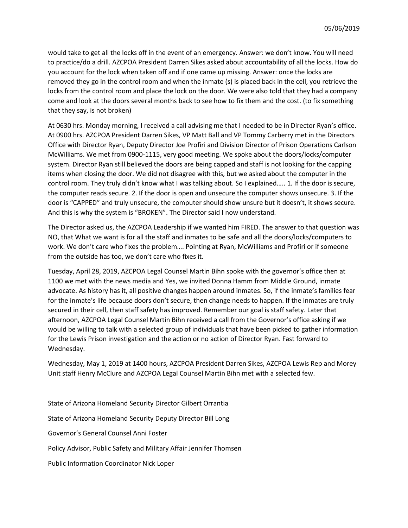would take to get all the locks off in the event of an emergency. Answer: we don't know. You will need to practice/do a drill. AZCPOA President Darren Sikes asked about accountability of all the locks. How do you account for the lock when taken off and if one came up missing. Answer: once the locks are removed they go in the control room and when the inmate (s) is placed back in the cell, you retrieve the locks from the control room and place the lock on the door. We were also told that they had a company come and look at the doors several months back to see how to fix them and the cost. (to fix something that they say, is not broken)

At 0630 hrs. Monday morning, I received a call advising me that I needed to be in Director Ryan's office. At 0900 hrs. AZCPOA President Darren Sikes, VP Matt Ball and VP Tommy Carberry met in the Directors Office with Director Ryan, Deputy Director Joe Profiri and Division Director of Prison Operations Carlson McWilliams. We met from 0900-1115, very good meeting. We spoke about the doors/locks/computer system. Director Ryan still believed the doors are being capped and staff is not looking for the capping items when closing the door. We did not disagree with this, but we asked about the computer in the control room. They truly didn't know what I was talking about. So I explained….. 1. If the door is secure, the computer reads secure. 2. If the door is open and unsecure the computer shows unsecure. 3. If the door is "CAPPED" and truly unsecure, the computer should show unsure but it doesn't, it shows secure. And this is why the system is "BROKEN". The Director said I now understand.

The Director asked us, the AZCPOA Leadership if we wanted him FIRED. The answer to that question was NO, that What we want is for all the staff and inmates to be safe and all the doors/locks/computers to work. We don't care who fixes the problem…. Pointing at Ryan, McWilliams and Profiri or if someone from the outside has too, we don't care who fixes it.

Tuesday, April 28, 2019, AZCPOA Legal Counsel Martin Bihn spoke with the governor's office then at 1100 we met with the news media and Yes, we invited Donna Hamm from Middle Ground, inmate advocate. As history has it, all positive changes happen around inmates. So, if the inmate's families fear for the inmate's life because doors don't secure, then change needs to happen. If the inmates are truly secured in their cell, then staff safety has improved. Remember our goal is staff safety. Later that afternoon, AZCPOA Legal Counsel Martin Bihn received a call from the Governor's office asking if we would be willing to talk with a selected group of individuals that have been picked to gather information for the Lewis Prison investigation and the action or no action of Director Ryan. Fast forward to Wednesday.

Wednesday, May 1, 2019 at 1400 hours, AZCPOA President Darren Sikes, AZCPOA Lewis Rep and Morey Unit staff Henry McClure and AZCPOA Legal Counsel Martin Bihn met with a selected few.

State of Arizona Homeland Security Director Gilbert Orrantia State of Arizona Homeland Security Deputy Director Bill Long Governor's General Counsel Anni Foster Policy Advisor, Public Safety and Military Affair Jennifer Thomsen Public Information Coordinator Nick Loper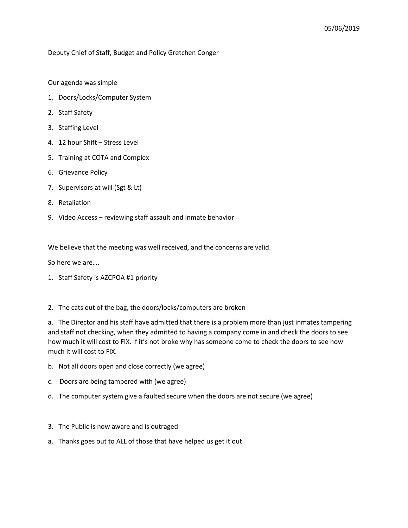## Deputy Chief of Staff, Budget and Policy Gretchen Conger

Our agenda was simple

- 1. Doors/Locks/Computer System
- 2. Staff Safety
- 3. Staffing Level
- 4. 12 hour Shift Stress Level
- 5. Training at COTA and Complex
- 6. Grievance Policy
- 7. Supervisors at will (Sgt & Lt)
- 8. Retaliation
- 9. Video Access reviewing staff assault and inmate behavior

We believe that the meeting was well received, and the concerns are valid.

So here we are….

- 1. Staff Safety is AZCPOA #1 priority
- 2. The cats out of the bag, the doors/locks/computers are broken

a. The Director and his staff have admitted that there is a problem more than just inmates tampering and staff not checking, when they admitted to having a company come in and check the doors to see how much it will cost to FIX. If it's not broke why has someone come to check the doors to see how much it will cost to FIX.

- b. Not all doors open and close correctly (we agree)
- c. Doors are being tampered with (we agree)
- d. The computer system give a faulted secure when the doors are not secure (we agree)
- 3. The Public is now aware and is outraged
- a. Thanks goes out to ALL of those that have helped us get it out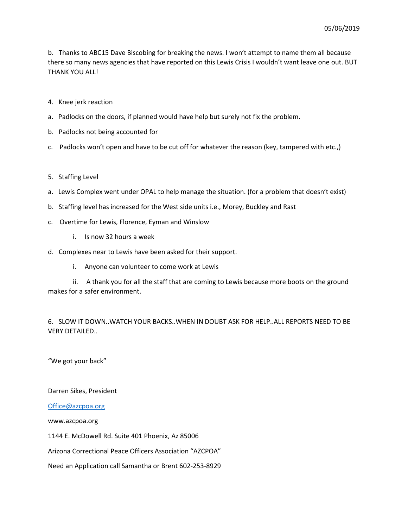b. Thanks to ABC15 Dave Biscobing for breaking the news. I won't attempt to name them all because there so many news agencies that have reported on this Lewis Crisis I wouldn't want leave one out. BUT THANK YOU ALL!

- 4. Knee jerk reaction
- a. Padlocks on the doors, if planned would have help but surely not fix the problem.
- b. Padlocks not being accounted for
- c. Padlocks won't open and have to be cut off for whatever the reason (key, tampered with etc.,)
- 5. Staffing Level
- a. Lewis Complex went under OPAL to help manage the situation. (for a problem that doesn't exist)
- b. Staffing level has increased for the West side units i.e., Morey, Buckley and Rast
- c. Overtime for Lewis, Florence, Eyman and Winslow
	- i. Is now 32 hours a week
- d. Complexes near to Lewis have been asked for their support.
	- i. Anyone can volunteer to come work at Lewis

 ii. A thank you for all the staff that are coming to Lewis because more boots on the ground makes for a safer environment.

6. SLOW IT DOWN..WATCH YOUR BACKS..WHEN IN DOUBT ASK FOR HELP..ALL REPORTS NEED TO BE VERY DETAILED..

"We got your back"

Darren Sikes, President

[Office@azcpoa.org](mailto:Office@azcpoa.org)

www.azcpoa.org

1144 E. McDowell Rd. Suite 401 Phoenix, Az 85006

Arizona Correctional Peace Officers Association "AZCPOA"

Need an Application call Samantha or Brent 602-253-8929